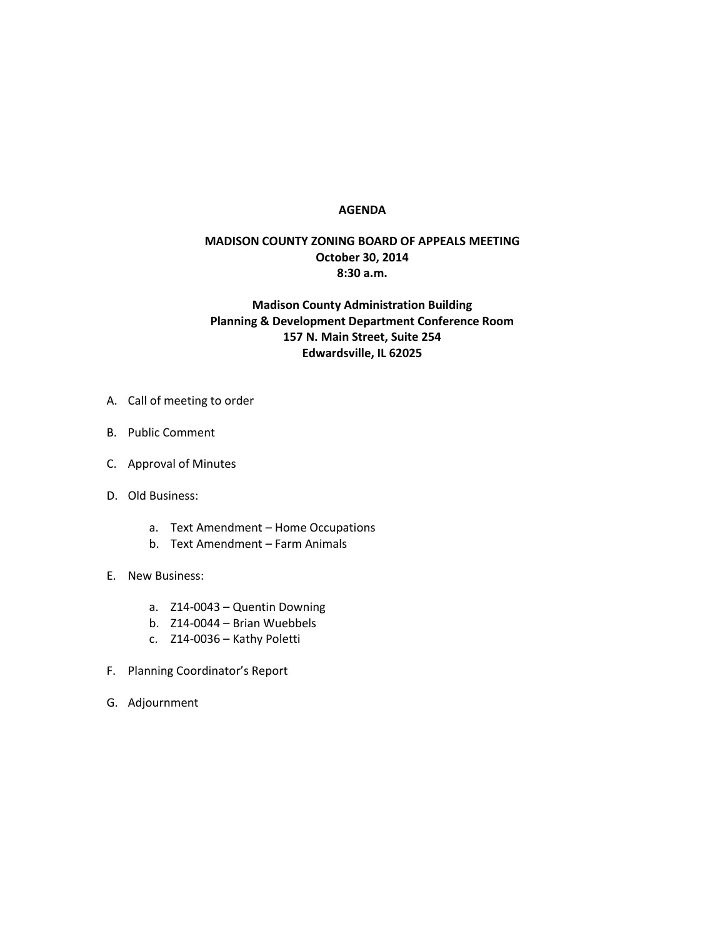## **AGENDA**

## **MADISON COUNTY ZONING BOARD OF APPEALS MEETING October 30, 2014 8:30 a.m.**

## **Madison County Administration Building Planning & Development Department Conference Room 157 N. Main Street, Suite 254 Edwardsville, IL 62025**

- A. Call of meeting to order
- B. Public Comment
- C. Approval of Minutes
- D. Old Business:
	- a. Text Amendment Home Occupations
	- b. Text Amendment Farm Animals
- E. New Business:
	- a. Z14-0043 Quentin Downing
	- b. Z14-0044 Brian Wuebbels
	- c. Z14-0036 Kathy Poletti
- F. Planning Coordinator's Report
- G. Adjournment